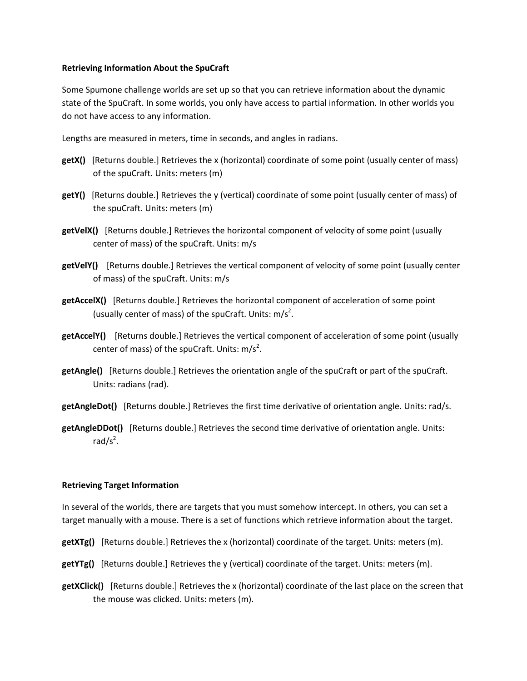## **Retrieving Information About the SpuCraft**

Some Spumone challenge worlds are set up so that you can retrieve information about the dynamic state of the SpuCraft. In some worlds, you only have access to partial information. In other worlds you do not have access to any information.

Lengths are measured in meters, time in seconds, and angles in radians.

- **getX()** [Returns double.] Retrieves the x (horizontal) coordinate of some point (usually center of mass) of the spuCraft. Units: meters (m)
- **getY()** [Returns double.] Retrieves the y (vertical) coordinate of some point (usually center of mass) of the spuCraft. Units: meters (m)
- **getVelX()** [Returns double.] Retrieves the horizontal component of velocity of some point (usually center of mass) of the spuCraft. Units: m/s
- **getVelY()** [Returns double.] Retrieves the vertical component of velocity of some point (usually center of mass) of the spuCraft. Units: m/s
- **getAccelX()** [Returns double.] Retrieves the horizontal component of acceleration of some point (usually center of mass) of the spuCraft. Units:  $m/s<sup>2</sup>$ .
- **getAccelY()** [Returns double.] Retrieves the vertical component of acceleration of some point (usually center of mass) of the spuCraft. Units:  $m/s<sup>2</sup>$ .
- **getAngle()** [Returns double.] Retrieves the orientation angle of the spuCraft or part of the spuCraft. Units: radians (rad).
- **getAngleDot()** [Returns double.] Retrieves the first time derivative of orientation angle. Units: rad/s.
- **getAngleDDot()** [Returns double.] Retrieves the second time derivative of orientation angle. Units:  $rad/s<sup>2</sup>$ .

## **Retrieving Target Information**

In several of the worlds, there are targets that you must somehow intercept. In others, you can set a target manually with a mouse. There is a set of functions which retrieve information about the target.

- **getXTg()** [Returns double.] Retrieves the x (horizontal) coordinate of the target. Units: meters (m).
- **getYTg()** [Returns double.] Retrieves the y (vertical) coordinate of the target. Units: meters (m).
- **getXClick()** [Returns double.] Retrieves the x (horizontal) coordinate of the last place on the screen that the mouse was clicked. Units: meters (m).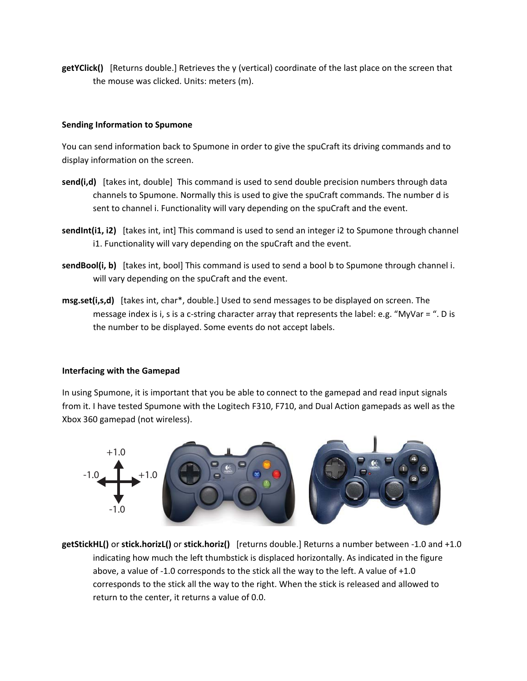**getYClick()** [Returns double.] Retrieves the y (vertical) coordinate of the last place on the screen that the mouse was clicked. Units: meters (m).

## **Sending Information to Spumone**

You can send information back to Spumone in order to give the spuCraft its driving commands and to display information on the screen.

- send(i,d) [takes int, double] This command is used to send double precision numbers through data channels to Spumone. Normally this is used to give the spuCraft commands. The number d is sent to channel i. Functionality will vary depending on the spuCraft and the event.
- **sendInt(i1, i2)** [takes int, int] This command is used to send an integer i2 to Spumone through channel i1. Functionality will vary depending on the spuCraft and the event.
- **sendBool(i, b)** [takes int, bool] This command is used to send a bool b to Spumone through channel i. will vary depending on the spuCraft and the event.
- **msg.set(i,s,d)** [takes int, char\*, double.] Used to send messages to be displayed on screen. The message index is i, s is a c-string character array that represents the label: e.g. "MyVar = ". D is the number to be displayed. Some events do not accept labels.

## **Interfacing with the Gamepad**

In using Spumone, it is important that you be able to connect to the gamepad and read input signals from it. I have tested Spumone with the Logitech F310, F710, and Dual Action gamepads as well as the Xbox 360 gamepad (not wireless).



**getStickHL()** or **stick.horizL()** or **stick.horiz()** [returns double.] Returns a number between ‐1.0 and +1.0 indicating how much the left thumbstick is displaced horizontally. As indicated in the figure above, a value of ‐1.0 corresponds to the stick all the way to the left. A value of +1.0 corresponds to the stick all the way to the right. When the stick is released and allowed to return to the center, it returns a value of 0.0.